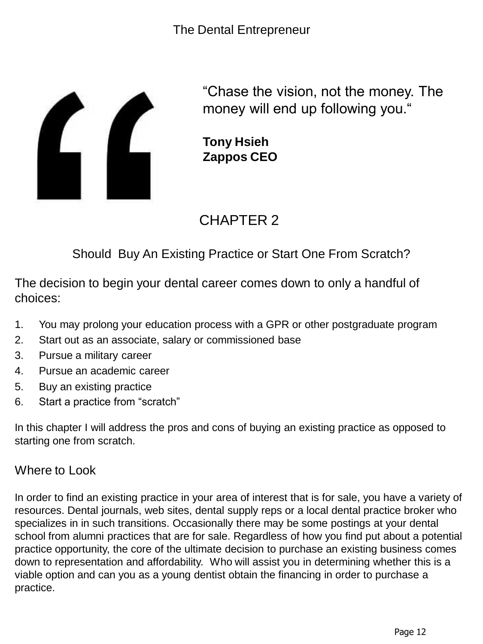

"Chase the vision, not the money. The money will end up following you."

**Tony Hsieh Zappos CEO**

# CHAPTER 2

Should Buy An Existing Practice or Start One From Scratch?

The decision to begin your dental career comes down to only a handful of choices:

- 1. You may prolong your education process with a GPR or other postgraduate program
- 2. Start out as an associate, salary or commissioned base
- 3. Pursue a military career
- 4. Pursue an academic career
- 5. Buy an existing practice
- 6. Start a practice from "scratch"

In this chapter I will address the pros and cons of buying an existing practice as opposed to starting one from scratch.

#### Where to Look

In order to find an existing practice in your area of interest that is for sale, you have a variety of resources. Dental journals, web sites, dental supply reps or a local dental practice broker who specializes in in such transitions. Occasionally there may be some postings at your dental school from alumni practices that are for sale. Regardless of how you find put about a potential practice opportunity, the core of the ultimate decision to purchase an existing business comes down to representation and affordability. Who will assist you in determining whether this is a viable option and can you as a young dentist obtain the financing in order to purchase a practice.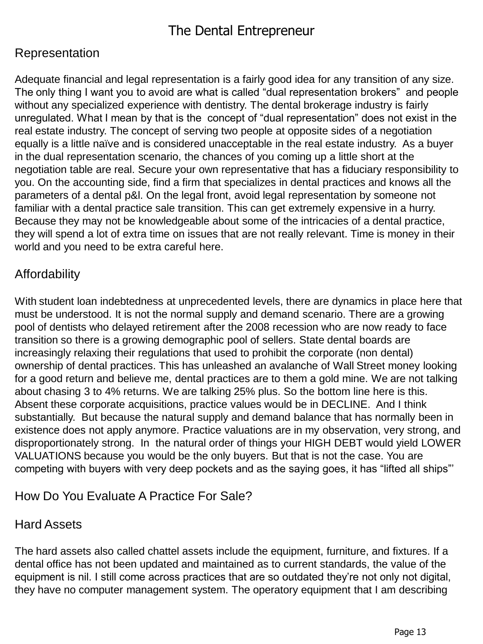#### Representation

Adequate financial and legal representation is a fairly good idea for any transition of any size. The only thing I want you to avoid are what is called "dual representation brokers" and people without any specialized experience with dentistry. The dental brokerage industry is fairly unregulated. What I mean by that is the concept of "dual representation" does not exist in the real estate industry. The concept of serving two people at opposite sides of a negotiation equally is a little naïve and is considered unacceptable in the real estate industry. As a buyer in the dual representation scenario, the chances of you coming up a little short at the negotiation table are real. Secure your own representative that has a fiduciary responsibility to you. On the accounting side, find a firm that specializes in dental practices and knows all the parameters of a dental p&l. On the legal front, avoid legal representation by someone not familiar with a dental practice sale transition. This can get extremely expensive in a hurry. Because they may not be knowledgeable about some of the intricacies of a dental practice, they will spend a lot of extra time on issues that are not really relevant. Time is money in their world and you need to be extra careful here.

# Affordability

With student loan indebtedness at unprecedented levels, there are dynamics in place here that must be understood. It is not the normal supply and demand scenario. There are a growing pool of dentists who delayed retirement after the 2008 recession who are now ready to face transition so there is a growing demographic pool of sellers. State dental boards are increasingly relaxing their regulations that used to prohibit the corporate (non dental) ownership of dental practices. This has unleashed an avalanche of Wall Street money looking for a good return and believe me, dental practices are to them a gold mine. We are not talking about chasing 3 to 4% returns. We are talking 25% plus. So the bottom line here is this. Absent these corporate acquisitions, practice values would be in DECLINE. And I think substantially. But because the natural supply and demand balance that has normally been in existence does not apply anymore. Practice valuations are in my observation, very strong, and disproportionately strong. In the natural order of things your HIGH DEBT would yield LOWER VALUATIONS because you would be the only buyers. But that is not the case. You are competing with buyers with very deep pockets and as the saying goes, it has "lifted all ships"'

### How Do You Evaluate A Practice For Sale?

#### Hard Assets

The hard assets also called chattel assets include the equipment, furniture, and fixtures. If a dental office has not been updated and maintained as to current standards, the value of the equipment is nil. I still come across practices that are so outdated they're not only not digital, they have no computer management system. The operatory equipment that I am describing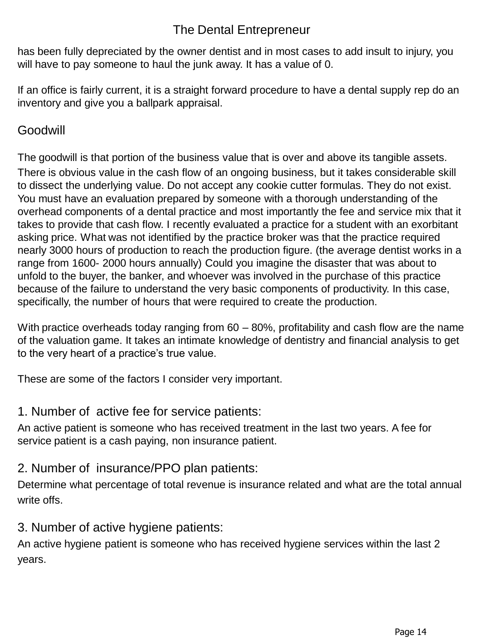# The Dental Entrepreneur

has been fully depreciated by the owner dentist and in most cases to add insult to injury, you will have to pay someone to haul the junk away. It has a value of 0.

If an office is fairly current, it is a straight forward procedure to have a dental supply rep do an inventory and give you a ballpark appraisal.

### Goodwill

The goodwill is that portion of the business value that is over and above its tangible assets. There is obvious value in the cash flow of an ongoing business, but it takes considerable skill to dissect the underlying value. Do not accept any cookie cutter formulas. They do not exist. You must have an evaluation prepared by someone with a thorough understanding of the overhead components of a dental practice and most importantly the fee and service mix that it takes to provide that cash flow. I recently evaluated a practice for a student with an exorbitant asking price. What was not identified by the practice broker was that the practice required nearly 3000 hours of production to reach the production figure. (the average dentist works in a range from 1600- 2000 hours annually) Could you imagine the disaster that was about to unfold to the buyer, the banker, and whoever was involved in the purchase of this practice because of the failure to understand the very basic components of productivity. In this case, specifically, the number of hours that were required to create the production.

With practice overheads today ranging from 60 – 80%, profitability and cash flow are the name of the valuation game. It takes an intimate knowledge of dentistry and financial analysis to get to the very heart of a practice's true value.

These are some of the factors I consider very important.

#### 1. Number of active fee for service patients:

An active patient is someone who has received treatment in the last two years. A fee for service patient is a cash paying, non insurance patient.

### 2. Number of insurance/PPO plan patients:

Determine what percentage of total revenue is insurance related and what are the total annual write offs.

### 3. Number of active hygiene patients:

An active hygiene patient is someone who has received hygiene services within the last 2 years.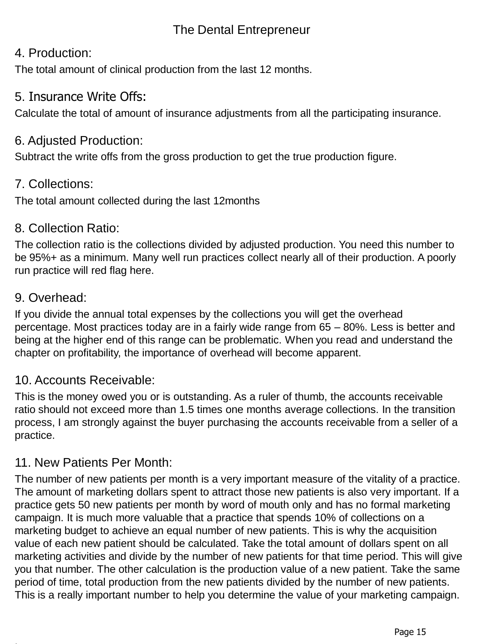# The Dental Entrepreneur

#### 4. Production:

The total amount of clinical production from the last 12 months.

#### 5. Insurance Write Offs:

Calculate the total of amount of insurance adjustments from all the participating insurance.

### 6. Adjusted Production:

Subtract the write offs from the gross production to get the true production figure.

### 7. Collections:

The total amount collected during the last 12months

#### 8. Collection Ratio:

The collection ratio is the collections divided by adjusted production. You need this number to be 95%+ as a minimum. Many well run practices collect nearly all of their production. A poorly run practice will red flag here.

#### 9. Overhead:

If you divide the annual total expenses by the collections you will get the overhead percentage. Most practices today are in a fairly wide range from 65 – 80%. Less is better and being at the higher end of this range can be problematic. When you read and understand the chapter on profitability, the importance of overhead will become apparent.

### 10. Accounts Receivable:

This is the money owed you or is outstanding. As a ruler of thumb, the accounts receivable ratio should not exceed more than 1.5 times one months average collections. In the transition process, I am strongly against the buyer purchasing the accounts receivable from a seller of a practice.

### 11. New Patients Per Month:

The number of new patients per month is a very important measure of the vitality of a practice. The amount of marketing dollars spent to attract those new patients is also very important. If a practice gets 50 new patients per month by word of mouth only and has no formal marketing campaign. It is much more valuable that a practice that spends 10% of collections on a marketing budget to achieve an equal number of new patients. This is why the acquisition value of each new patient should be calculated. Take the total amount of dollars spent on all marketing activities and divide by the number of new patients for that time period. This will give you that number. The other calculation is the production value of a new patient. Take the same period of time, total production from the new patients divided by the number of new patients. This is a really important number to help you determine the value of your marketing campaign.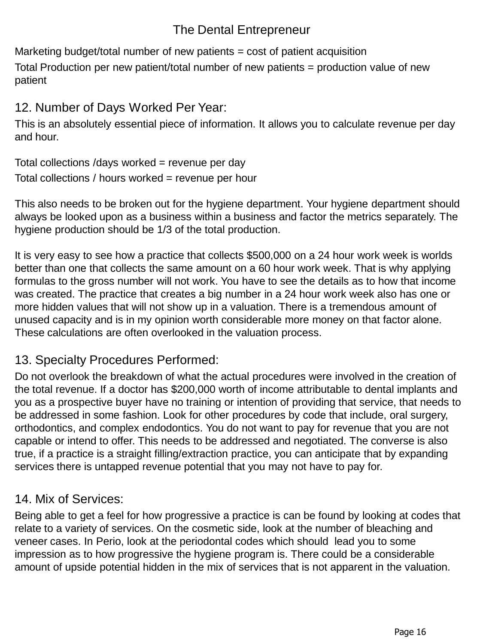# The Dental Entrepreneur

Marketing budget/total number of new patients = cost of patient acquisition

Total Production per new patient/total number of new patients = production value of new patient

# 12. Number of Days Worked Per Year:

This is an absolutely essential piece of information. It allows you to calculate revenue per day and hour.

Total collections /days worked = revenue per day Total collections / hours worked = revenue per hour

This also needs to be broken out for the hygiene department. Your hygiene department should always be looked upon as a business within a business and factor the metrics separately. The hygiene production should be 1/3 of the total production.

It is very easy to see how a practice that collects \$500,000 on a 24 hour work week is worlds better than one that collects the same amount on a 60 hour work week. That is why applying formulas to the gross number will not work. You have to see the details as to how that income was created. The practice that creates a big number in a 24 hour work week also has one or more hidden values that will not show up in a valuation. There is a tremendous amount of unused capacity and is in my opinion worth considerable more money on that factor alone. These calculations are often overlooked in the valuation process.

# 13. Specialty Procedures Performed:

Do not overlook the breakdown of what the actual procedures were involved in the creation of the total revenue. If a doctor has \$200,000 worth of income attributable to dental implants and you as a prospective buyer have no training or intention of providing that service, that needs to be addressed in some fashion. Look for other procedures by code that include, oral surgery, orthodontics, and complex endodontics. You do not want to pay for revenue that you are not capable or intend to offer. This needs to be addressed and negotiated. The converse is also true, if a practice is a straight filling/extraction practice, you can anticipate that by expanding services there is untapped revenue potential that you may not have to pay for.

# 14. Mix of Services:

Being able to get a feel for how progressive a practice is can be found by looking at codes that relate to a variety of services. On the cosmetic side, look at the number of bleaching and veneer cases. In Perio, look at the periodontal codes which should lead you to some impression as to how progressive the hygiene program is. There could be a considerable amount of upside potential hidden in the mix of services that is not apparent in the valuation.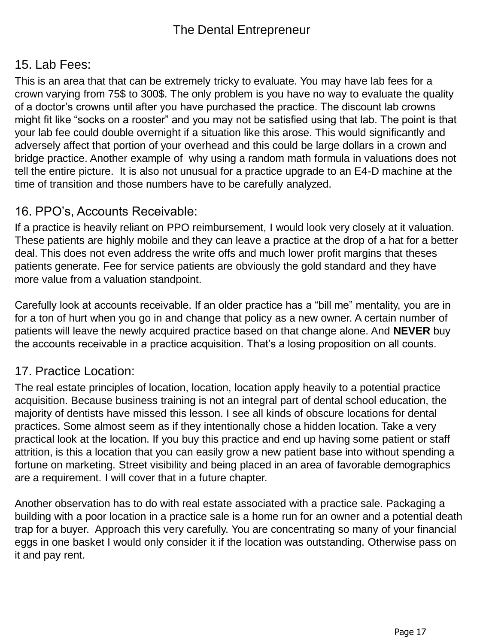## 15. Lab Fees:

This is an area that that can be extremely tricky to evaluate. You may have lab fees for a crown varying from 75\$ to 300\$. The only problem is you have no way to evaluate the quality of a doctor's crowns until after you have purchased the practice. The discount lab crowns might fit like "socks on a rooster" and you may not be satisfied using that lab. The point is that your lab fee could double overnight if a situation like this arose. This would significantly and adversely affect that portion of your overhead and this could be large dollars in a crown and bridge practice. Another example of why using a random math formula in valuations does not tell the entire picture. It is also not unusual for a practice upgrade to an E4-D machine at the time of transition and those numbers have to be carefully analyzed.

#### 16. PPO's, Accounts Receivable:

If a practice is heavily reliant on PPO reimbursement, I would look very closely at it valuation. These patients are highly mobile and they can leave a practice at the drop of a hat for a better deal. This does not even address the write offs and much lower profit margins that theses patients generate. Fee for service patients are obviously the gold standard and they have more value from a valuation standpoint.

Carefully look at accounts receivable. If an older practice has a "bill me" mentality, you are in for a ton of hurt when you go in and change that policy as a new owner. A certain number of patients will leave the newly acquired practice based on that change alone. And **NEVER** buy the accounts receivable in a practice acquisition. That's a losing proposition on all counts.

### 17. Practice Location:

The real estate principles of location, location, location apply heavily to a potential practice acquisition. Because business training is not an integral part of dental school education, the majority of dentists have missed this lesson. I see all kinds of obscure locations for dental practices. Some almost seem as if they intentionally chose a hidden location. Take a very practical look at the location. If you buy this practice and end up having some patient or staff attrition, is this a location that you can easily grow a new patient base into without spending a fortune on marketing. Street visibility and being placed in an area of favorable demographics are a requirement. I will cover that in a future chapter.

Another observation has to do with real estate associated with a practice sale. Packaging a building with a poor location in a practice sale is a home run for an owner and a potential death trap for a buyer. Approach this very carefully. You are concentrating so many of your financial eggs in one basket I would only consider it if the location was outstanding. Otherwise pass on it and pay rent.